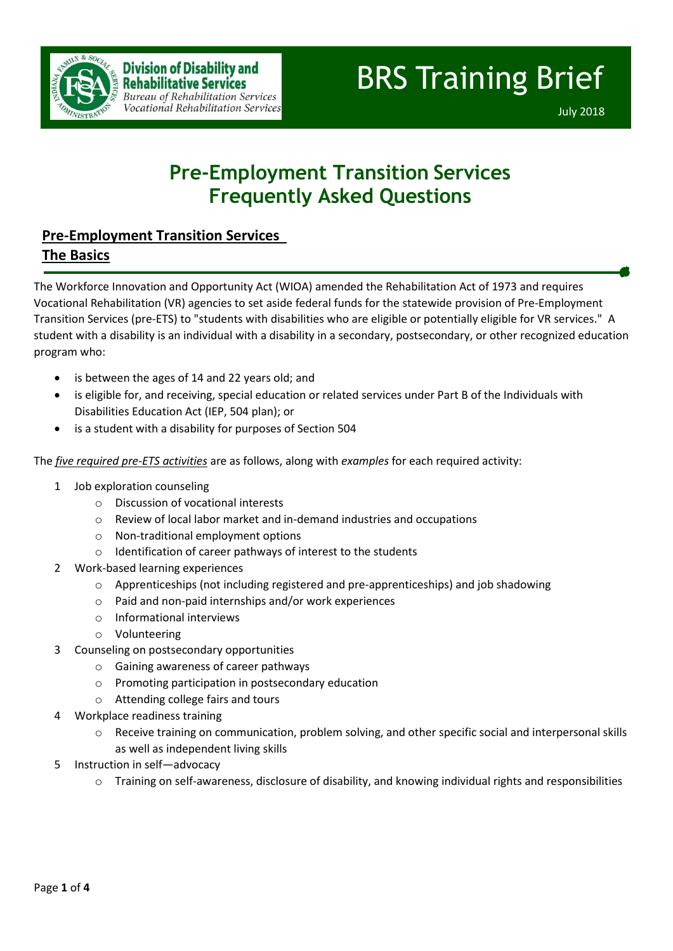

# BRS Training Brief

July 2018

# **Pre-Employment Transition Services Frequently Asked Questions**

### **Pre-Employment Transition Services The Basics**

The Workforce Innovation and Opportunity Act (WIOA) amended the Rehabilitation Act of 1973 and requires Vocational Rehabilitation (VR) agencies to set aside federal funds for the statewide provision of Pre-Employment Transition Services (pre-ETS) to "students with disabilities who are eligible or potentially eligible for VR services." A student with a disability is an individual with a disability in a secondary, postsecondary, or other recognized education program who:

- is between the ages of 14 and 22 years old; and
- is eligible for, and receiving, special education or related services under Part B of the Individuals with Disabilities Education Act (IEP, 504 plan); or
- is a student with a disability for purposes of Section 504

The *five required pre-ETS activities* are as follows, along with *examples* for each required activity:

- 1 Job exploration counseling
	- o Discussion of vocational interests
	- o Review of local labor market and in-demand industries and occupations
	- o Non-traditional employment options
	- o Identification of career pathways of interest to the students
- 2 Work-based learning experiences
	- o Apprenticeships (not including registered and pre-apprenticeships) and job shadowing
	- o Paid and non-paid internships and/or work experiences
	- o Informational interviews
	- o Volunteering
- 3 Counseling on postsecondary opportunities
	- o Gaining awareness of career pathways
	- o Promoting participation in postsecondary education
	- o Attending college fairs and tours
- Workplace readiness training
	- $\circ$  Receive training on communication, problem solving, and other specific social and interpersonal skills as well as independent living skills
- 5 Instruction in self—advocacy
	- o Training on self-awareness, disclosure of disability, and knowing individual rights and responsibilities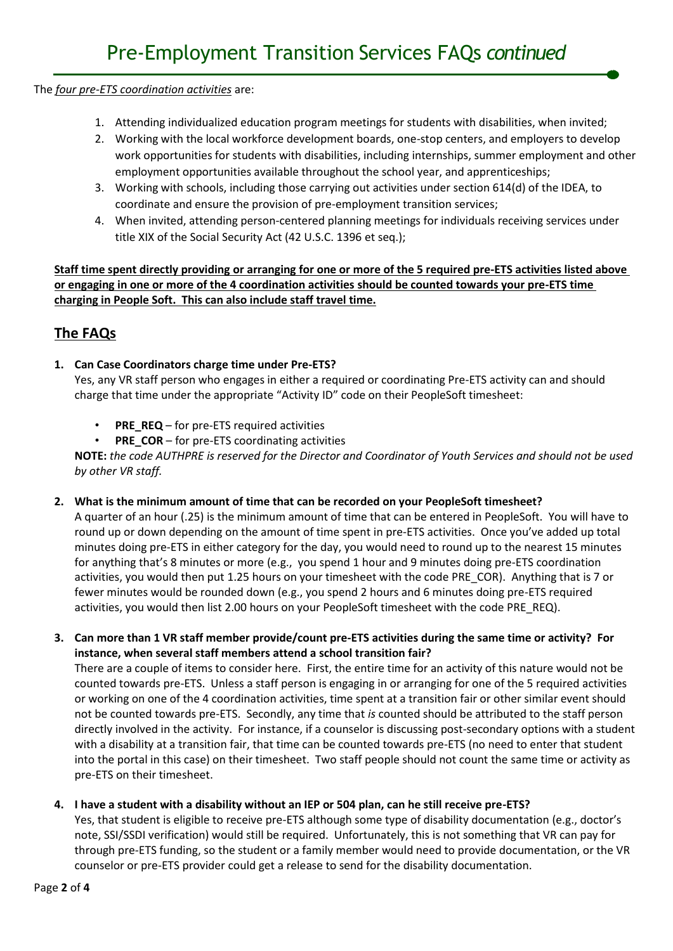The *four pre-ETS coordination activities* are:

- 1. Attending individualized education program meetings for students with disabilities, when invited;
- 2. Working with the local workforce development boards, one-stop centers, and employers to develop work opportunities for students with disabilities, including internships, summer employment and other employment opportunities available throughout the school year, and apprenticeships;
- 3. Working with schools, including those carrying out activities under section 614(d) of the IDEA, to coordinate and ensure the provision of pre-employment transition services;
- 4. When invited, attending person-centered planning meetings for individuals receiving services under title XIX of the Social Security Act (42 U.S.C. 1396 et seq.);

**Staff time spent directly providing or arranging for one or more of the 5 required pre-ETS activities listed above or engaging in one or more of the 4 coordination activities should be counted towards your pre-ETS time charging in People Soft. This can also include staff travel time.**

## **The FAQs**

#### **1. Can Case Coordinators charge time under Pre-ETS?**

Yes, any VR staff person who engages in either a required or coordinating Pre-ETS activity can and should charge that time under the appropriate "Activity ID" code on their PeopleSoft timesheet:

- **PRE\_REQ** for pre-ETS required activities
- **PRE\_COR** for pre-ETS coordinating activities

**NOTE:** *the code AUTHPRE is reserved for the Director and Coordinator of Youth Services and should not be used by other VR staff.*

#### **2. What is the minimum amount of time that can be recorded on your PeopleSoft timesheet?**

A quarter of an hour (.25) is the minimum amount of time that can be entered in PeopleSoft. You will have to round up or down depending on the amount of time spent in pre-ETS activities. Once you've added up total minutes doing pre-ETS in either category for the day, you would need to round up to the nearest 15 minutes for anything that's 8 minutes or more (e.g., you spend 1 hour and 9 minutes doing pre-ETS coordination activities, you would then put 1.25 hours on your timesheet with the code PRE\_COR). Anything that is 7 or fewer minutes would be rounded down (e.g., you spend 2 hours and 6 minutes doing pre-ETS required activities, you would then list 2.00 hours on your PeopleSoft timesheet with the code PRE\_REQ).

**3. Can more than 1 VR staff member provide/count pre-ETS activities during the same time or activity? For instance, when several staff members attend a school transition fair?**

There are a couple of items to consider here. First, the entire time for an activity of this nature would not be counted towards pre-ETS. Unless a staff person is engaging in or arranging for one of the 5 required activities or working on one of the 4 coordination activities, time spent at a transition fair or other similar event should not be counted towards pre-ETS. Secondly, any time that *is* counted should be attributed to the staff person directly involved in the activity. For instance, if a counselor is discussing post-secondary options with a student with a disability at a transition fair, that time can be counted towards pre-ETS (no need to enter that student into the portal in this case) on their timesheet. Two staff people should not count the same time or activity as pre-ETS on their timesheet.

#### **4. I have a student with a disability without an IEP or 504 plan, can he still receive pre-ETS?**

Yes, that student is eligible to receive pre-ETS although some type of disability documentation (e.g., doctor's note, SSI/SSDI verification) would still be required. Unfortunately, this is not something that VR can pay for through pre-ETS funding, so the student or a family member would need to provide documentation, or the VR counselor or pre-ETS provider could get a release to send for the disability documentation.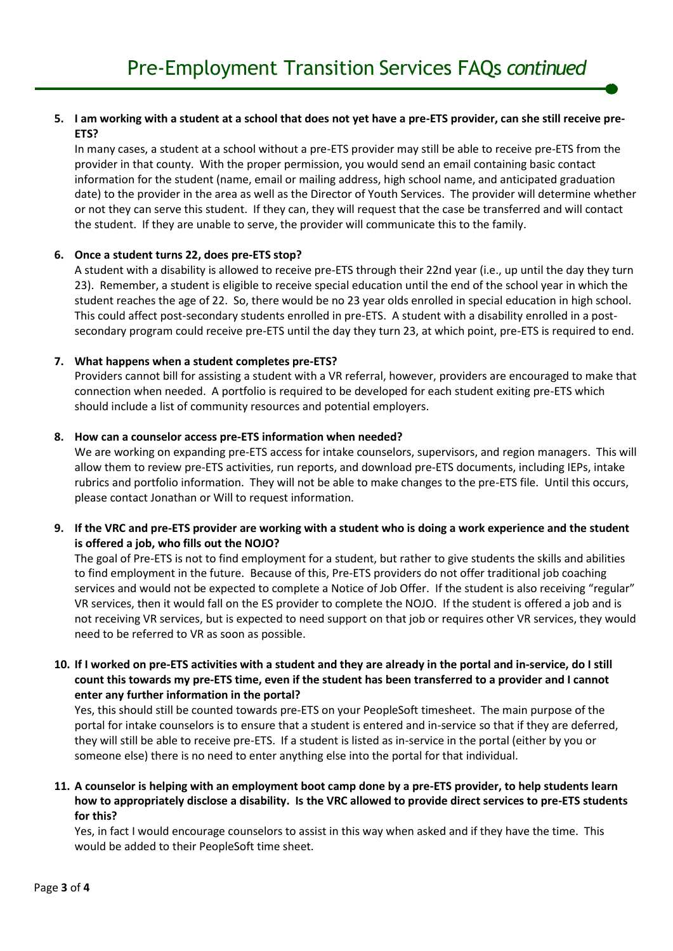#### **5. I am working with a student at a school that does not yet have a pre-ETS provider, can she still receive pre-ETS?**

In many cases, a student at a school without a pre-ETS provider may still be able to receive pre-ETS from the provider in that county. With the proper permission, you would send an email containing basic contact information for the student (name, email or mailing address, high school name, and anticipated graduation date) to the provider in the area as well as the Director of Youth Services. The provider will determine whether or not they can serve this student. If they can, they will request that the case be transferred and will contact the student. If they are unable to serve, the provider will communicate this to the family.

#### **6. Once a student turns 22, does pre-ETS stop?**

A student with a disability is allowed to receive pre-ETS through their 22nd year (i.e., up until the day they turn 23). Remember, a student is eligible to receive special education until the end of the school year in which the student reaches the age of 22. So, there would be no 23 year olds enrolled in special education in high school. This could affect post-secondary students enrolled in pre-ETS. A student with a disability enrolled in a postsecondary program could receive pre-ETS until the day they turn 23, at which point, pre-ETS is required to end.

#### **7. What happens when a student completes pre-ETS?**

Providers cannot bill for assisting a student with a VR referral, however, providers are encouraged to make that connection when needed. A portfolio is required to be developed for each student exiting pre-ETS which should include a list of community resources and potential employers.

#### **8. How can a counselor access pre-ETS information when needed?**

We are working on expanding pre-ETS access for intake counselors, supervisors, and region managers. This will allow them to review pre-ETS activities, run reports, and download pre-ETS documents, including IEPs, intake rubrics and portfolio information. They will not be able to make changes to the pre-ETS file. Until this occurs, please contact Jonathan or Will to request information.

#### **9. If the VRC and pre-ETS provider are working with a student who is doing a work experience and the student is offered a job, who fills out the NOJO?**

The goal of Pre-ETS is not to find employment for a student, but rather to give students the skills and abilities to find employment in the future. Because of this, Pre-ETS providers do not offer traditional job coaching services and would not be expected to complete a Notice of Job Offer. If the student is also receiving "regular" VR services, then it would fall on the ES provider to complete the NOJO. If the student is offered a job and is not receiving VR services, but is expected to need support on that job or requires other VR services, they would need to be referred to VR as soon as possible.

#### **10. If I worked on pre-ETS activities with a student and they are already in the portal and in-service, do I still count this towards my pre-ETS time, even if the student has been transferred to a provider and I cannot enter any further information in the portal?**

Yes, this should still be counted towards pre-ETS on your PeopleSoft timesheet. The main purpose of the portal for intake counselors is to ensure that a student is entered and in-service so that if they are deferred, they will still be able to receive pre-ETS. If a student is listed as in-service in the portal (either by you or someone else) there is no need to enter anything else into the portal for that individual.

#### **11. A counselor is helping with an employment boot camp done by a pre-ETS provider, to help students learn how to appropriately disclose a disability. Is the VRC allowed to provide direct services to pre-ETS students for this?**

Yes, in fact I would encourage counselors to assist in this way when asked and if they have the time. This would be added to their PeopleSoft time sheet.